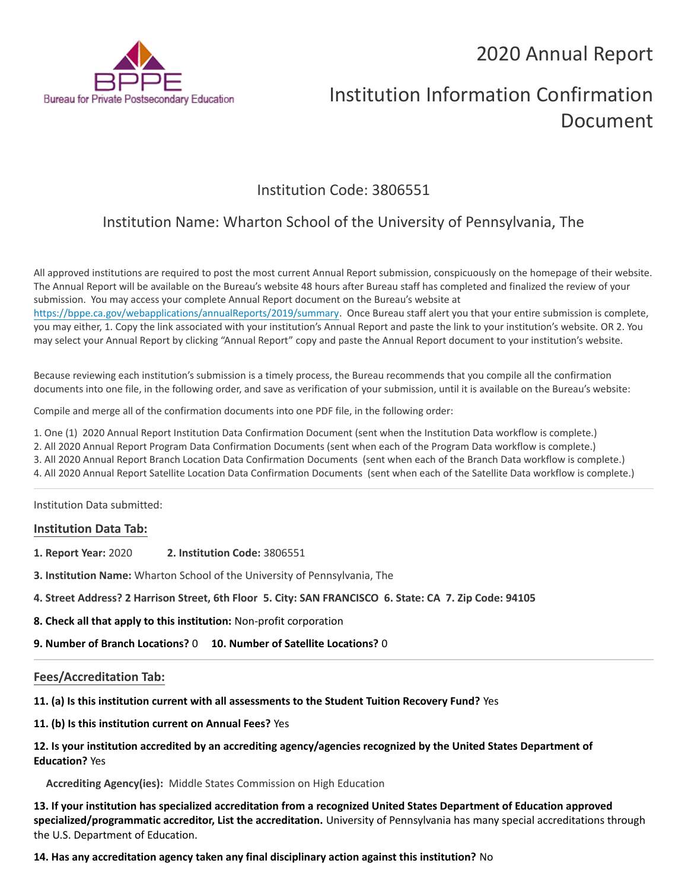## 2020 Annual Report



# Institution Information Confirmation Document

### Institution Code: 3806551

## Institution Name: Wharton School of the University of Pennsylvania, The

All approved institutions are required to post the most current Annual Report submission, conspicuously on the homepage of their website. The Annual Report will be available on the Bureau's website 48 hours after Bureau staff has completed and finalized the review of your submission. You may access your complete Annual Report document on the Bureau's website at <https://bppe.ca.gov/webapplications/annualReports/2019/summary>. Once Bureau staff alert you that your entire submission is complete, you may either, 1. Copy the link associated with your institution's Annual Report and paste the link to your institution's website. OR 2. You may select your Annual Report by clicking "Annual Report" copy and paste the Annual Report document to your institution's website.

Because reviewing each institution's submission is a timely process, the Bureau recommends that you compile all the confirmation documents into one file, in the following order, and save as verification of your submission, until it is available on the Bureau's website:

Compile and merge all of the confirmation documents into one PDF file, in the following order:

- 1. One (1) 2020 Annual Report Institution Data Confirmation Document (sent when the Institution Data workflow is complete.)
- 2. All 2020 Annual Report Program Data Confirmation Documents (sent when each of the Program Data workflow is complete.)
- 3. All 2020 Annual Report Branch Location Data Confirmation Documents (sent when each of the Branch Data workflow is complete.)
- 4. All 2020 Annual Report Satellite Location Data Confirmation Documents (sent when each of the Satellite Data workflow is complete.)

Institution Data submitted:

#### **Institution Data Tab:**

- **1. Report Year:** 2020 **2. Institution Code:** 3806551
- **3. Institution Name:** Wharton School of the University of Pennsylvania, The
- **4. Street Address? 2 Harrison Street, 6th Floor 5. City: SAN FRANCISCO 6. State: CA 7. Zip Code: 94105**
- **8. Check all that apply to this institution:** Non-profit corporation
- **9. Number of Branch Locations?** 0 **10. Number of Satellite Locations?** 0

#### **Fees/Accreditation Tab:**

- **11. (a) Is this institution current with all assessments to the Student Tuition Recovery Fund?** Yes
- **11. (b) Is this institution current on Annual Fees?** Yes

#### **12. Is your institution accredited by an accrediting agency/agencies recognized by the United States Department of Education?** Yes

**Accrediting Agency(ies):** Middle States Commission on High Education

**13. If your institution has specialized accreditation from a recognized United States Department of Education approved specialized/programmatic accreditor, List the accreditation.** University of Pennsylvania has many special accreditations through the U.S. Department of Education.

**14. Has any accreditation agency taken any final disciplinary action against this institution?** No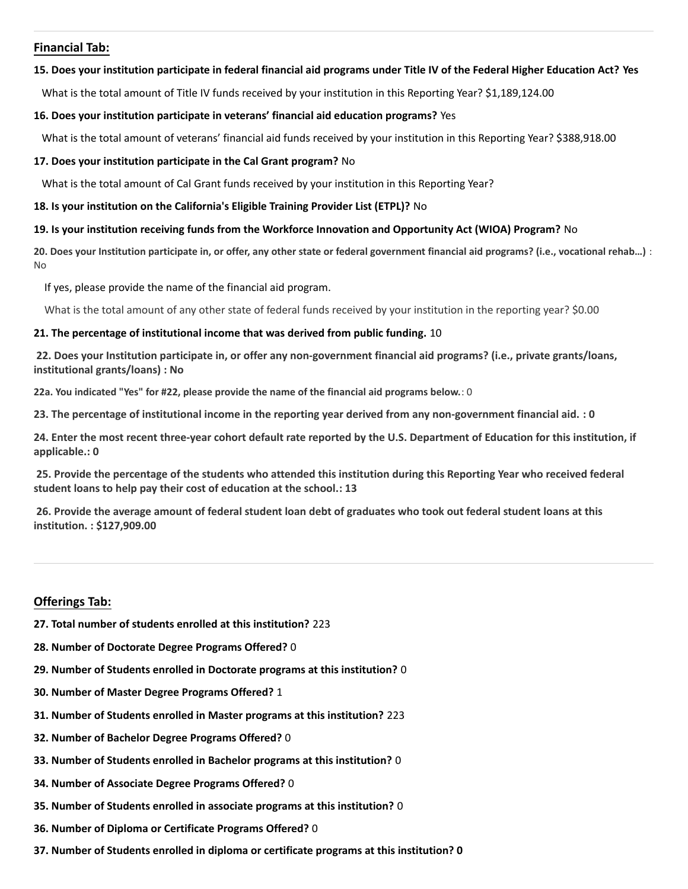#### **Financial Tab:**

#### **15. Does your institution participate in federal financial aid programs under Title IV of the Federal Higher Education Act? Yes**

What is the total amount of Title IV funds received by your institution in this Reporting Year? \$1,189,124.00

#### **16. Does your institution participate in veterans' financial aid education programs?** Yes

What is the total amount of veterans' financial aid funds received by your institution in this Reporting Year? \$388,918.00

#### **17. Does your institution participate in the Cal Grant program?** No

What is the total amount of Cal Grant funds received by your institution in this Reporting Year?

#### **18. Is your institution on the California's Eligible Training Provider List (ETPL)?** No

#### **19. Is your institution receiving funds from the Workforce Innovation and Opportunity Act (WIOA) Program?** No

**20. Does your Institution participate in, or offer, any other state or federal government financial aid programs? (i.e., vocational rehab…)** : No

If yes, please provide the name of the financial aid program.

What is the total amount of any other state of federal funds received by your institution in the reporting year? \$0.00

#### **21. The percentage of institutional income that was derived from public funding.** 10

**22. Does your Institution participate in, or offer any non-government financial aid programs? (i.e., private grants/loans, institutional grants/loans) : No**

**22a. You indicated "Yes" for #22, please provide the name of the financial aid programs below.**: 0

**23. The percentage of institutional income in the reporting year derived from any non-government financial aid. : 0**

**24. Enter the most recent three-year cohort default rate reported by the U.S. Department of Education for this institution, if applicable.: 0**

**25. Provide the percentage of the students who attended this institution during this Reporting Year who received federal student loans to help pay their cost of education at the school.: 13**

**26. Provide the average amount of federal student loan debt of graduates who took out federal student loans at this institution. : \$127,909.00**

#### **Offerings Tab:**

- **27. Total number of students enrolled at this institution?** 223
- **28. Number of Doctorate Degree Programs Offered?** 0
- **29. Number of Students enrolled in Doctorate programs at this institution?** 0
- **30. Number of Master Degree Programs Offered?** 1
- **31. Number of Students enrolled in Master programs at this institution?** 223
- **32. Number of Bachelor Degree Programs Offered?** 0
- **33. Number of Students enrolled in Bachelor programs at this institution?** 0
- **34. Number of Associate Degree Programs Offered?** 0
- **35. Number of Students enrolled in associate programs at this institution?** 0
- **36. Number of Diploma or Certificate Programs Offered?** 0
- **37. Number of Students enrolled in diploma or certificate programs at this institution? 0**